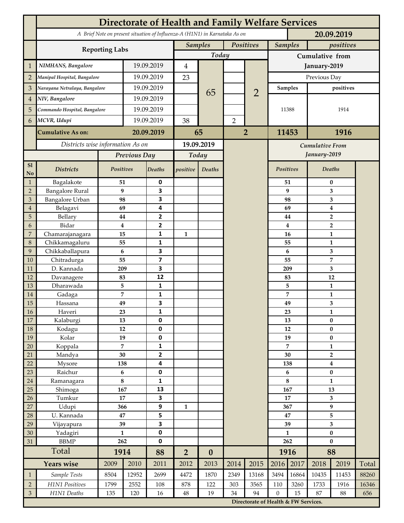|                                  | <b>Directorate of Health and Family Welfare Services</b>                                 |                      |             |                         |                        |                  |                |                        |                                      |              |                                           |                               |              |  |  |
|----------------------------------|------------------------------------------------------------------------------------------|----------------------|-------------|-------------------------|------------------------|------------------|----------------|------------------------|--------------------------------------|--------------|-------------------------------------------|-------------------------------|--------------|--|--|
|                                  | A Brief Note on present situation of Influenza-A (H1N1) in Karnataka As on<br>20.09.2019 |                      |             |                         |                        |                  |                |                        |                                      |              |                                           |                               |              |  |  |
|                                  | <b>Reporting Labs</b>                                                                    |                      |             |                         | <b>Samples</b>         |                  | Positives      |                        | <b>Samples</b>                       |              | positives                                 |                               |              |  |  |
|                                  |                                                                                          |                      |             |                         |                        | Today            |                |                        | Cumulative from                      |              |                                           |                               |              |  |  |
| $\mathbf 1$                      | NIMHANS, Bangalore                                                                       | 19.09.2019           |             | $\overline{4}$          |                        |                  |                | January-2019           |                                      |              |                                           |                               |              |  |  |
| $\overline{2}$                   | Manipal Hospital, Bangalore                                                              |                      |             | 19.09.2019              |                        |                  |                |                        | Previous Day                         |              |                                           |                               |              |  |  |
| 3                                | Narayana Netralaya, Bangalore                                                            |                      |             | 19.09.2019              |                        |                  |                |                        | <b>Samples</b>                       |              | positives                                 |                               |              |  |  |
| $\overline{4}$                   | NIV, Bangalore                                                                           |                      | 19.09.2019  |                         |                        | 65               |                | $\overline{2}$         |                                      |              |                                           |                               |              |  |  |
| 5                                | Commando Hospital, Bangalore                                                             |                      | 19.09.2019  |                         |                        |                  |                |                        | 11388                                |              | 1914                                      |                               |              |  |  |
| 6                                | MCVR, Udupi                                                                              |                      | 19.09.2019  |                         | 38                     |                  | $\overline{2}$ |                        |                                      |              |                                           |                               |              |  |  |
|                                  |                                                                                          |                      |             |                         |                        |                  |                |                        |                                      |              |                                           |                               |              |  |  |
|                                  | <b>Cumulative As on:</b>                                                                 |                      | 20.09.2019  |                         | 65                     |                  | $\overline{2}$ |                        | 11453                                |              |                                           | 1916                          |              |  |  |
|                                  | Districts wise information As on                                                         |                      |             | 19.09.2019              |                        |                  |                | <b>Cumulative From</b> |                                      |              |                                           |                               |              |  |  |
|                                  |                                                                                          | Previous Day         |             | Today                   |                        |                  |                |                        |                                      | January-2019 |                                           |                               |              |  |  |
| S1<br>No                         | <b>Districts</b>                                                                         | Positives            |             | Deaths                  | positive               | Deaths           |                |                        |                                      | Positives    |                                           | Deaths                        |              |  |  |
| $\mathbf{1}$                     | Bagalakote                                                                               | 51                   |             | $\pmb{0}$               |                        |                  |                |                        |                                      | 51           | $\bf{0}$                                  |                               |              |  |  |
| $\sqrt{2}$                       | <b>Bangalore Rural</b>                                                                   | 9                    |             | 3                       |                        |                  |                |                        |                                      | 9            | 3                                         |                               |              |  |  |
| 3                                | Bangalore Urban                                                                          | 98                   |             | 3                       |                        |                  |                |                        |                                      | 98           | 3                                         |                               |              |  |  |
| $\overline{4}$<br>$\overline{5}$ | Belagavi<br>Bellary                                                                      | 69<br>44             |             | 4<br>$\mathbf{2}$       |                        |                  |                |                        |                                      | 69<br>44     | $\boldsymbol{4}$                          |                               |              |  |  |
| 6                                | Bidar                                                                                    | $\bf{4}$             |             | $\mathbf{2}$            |                        |                  |                |                        |                                      | 4            | $\overline{\mathbf{2}}$<br>$\overline{2}$ |                               |              |  |  |
| $\overline{7}$                   | Chamarajanagara                                                                          | 15                   |             | 1                       | $\mathbf{1}$           |                  |                |                        | 16                                   |              | 1                                         |                               |              |  |  |
| $\,8\,$                          | Chikkamagaluru                                                                           | 55                   |             | $\mathbf{1}$            |                        |                  |                |                        |                                      | 55           |                                           | 1                             |              |  |  |
| 9                                | Chikkaballapura                                                                          | 6                    |             | $\overline{\mathbf{3}}$ |                        |                  |                |                        |                                      | 6            |                                           | 3                             |              |  |  |
| 10                               | Chitradurga                                                                              | 55                   |             | $\overline{\mathbf{z}}$ |                        |                  |                |                        |                                      | 55           |                                           | 7                             |              |  |  |
| 11                               | D. Kannada                                                                               | 209                  |             | 3                       |                        |                  |                |                        |                                      | 209          | 3                                         |                               |              |  |  |
| 12                               | Davanagere                                                                               | 83                   |             | 12                      |                        |                  |                |                        |                                      | 83           | 12                                        |                               |              |  |  |
| 13                               | Dharawada                                                                                | 5                    |             | $\mathbf{1}$<br>1       |                        |                  |                |                        |                                      | 5            |                                           | $\mathbf{1}$                  |              |  |  |
| 14<br>15                         | Gadaga<br>Hassana                                                                        | 7<br>49              |             | 3                       |                        |                  |                |                        |                                      | 7<br>49      |                                           | 1<br>3                        |              |  |  |
| 16                               | Haveri                                                                                   | 23                   |             | 1                       |                        |                  |                |                        |                                      | 23           |                                           | 1                             |              |  |  |
| 17                               | Kalaburgi                                                                                | 13                   |             | 0                       |                        |                  |                |                        |                                      | 13           | $\pmb{0}$                                 |                               |              |  |  |
| 18                               | Kodagu                                                                                   | 12                   |             | $\mathbf 0$             |                        |                  |                |                        | 12                                   |              | $\pmb{0}$                                 |                               |              |  |  |
| 19                               | Kolar                                                                                    | 19                   |             | $\pmb{0}$               |                        |                  |                |                        |                                      | 19           | $\pmb{0}$                                 |                               |              |  |  |
| $20\,$                           | Koppala                                                                                  | $\overline{7}$       |             | $\mathbf{1}$            |                        |                  |                |                        |                                      | 7            | $\mathbf{1}$                              |                               |              |  |  |
| 21                               | Mandya                                                                                   | 30                   |             | $\mathbf{2}$            |                        |                  |                |                        | 30                                   |              | $\mathbf{2}$                              |                               |              |  |  |
| 22                               | Mysore                                                                                   | 138<br>$\bf 6$       |             | 4<br>$\pmb{0}$          |                        |                  |                |                        |                                      | 138<br>6     |                                           | $\boldsymbol{4}$<br>$\pmb{0}$ |              |  |  |
| 23<br>$24\,$                     | Raichur<br>Ramanagara                                                                    | 8                    |             | $\mathbf{1}$            |                        |                  |                |                        | 8                                    |              | $\mathbf{1}$                              |                               |              |  |  |
| 25                               | Shimoga                                                                                  | 167                  |             | 13                      |                        |                  |                |                        |                                      | 167          | 13                                        |                               |              |  |  |
| 26                               | Tumkur                                                                                   | 17                   |             | 3                       |                        |                  |                |                        | 17                                   |              | 3                                         |                               |              |  |  |
| 27                               | Udupi                                                                                    | 366                  |             | 9                       | 1                      |                  |                |                        | 367                                  |              | $\boldsymbol{9}$                          |                               |              |  |  |
| 28                               | U. Kannada                                                                               | $\bf 47$             |             | 5                       |                        |                  |                |                        | 47                                   |              | 5                                         |                               |              |  |  |
| 29                               | Vijayapura                                                                               | 39                   |             | $\overline{\mathbf{3}}$ |                        |                  |                |                        | 39                                   |              | $\overline{\mathbf{3}}$                   |                               |              |  |  |
| $30\,$                           | Yadagiri                                                                                 | $\mathbf{1}$<br>262  |             | 0                       |                        |                  |                |                        | $\mathbf{1}$<br>262                  |              | $\pmb{0}$                                 |                               |              |  |  |
| 31                               | <b>BBMP</b>                                                                              |                      |             | $\mathbf 0$             |                        |                  |                |                        | 1916                                 |              | $\bf{0}$                                  |                               |              |  |  |
|                                  | Total<br><b>Years wise</b>                                                               | 1914<br>2010<br>2009 |             | 88                      | $\overline{2}$<br>2012 | $\boldsymbol{0}$ |                |                        | 2016                                 | 2017         |                                           | 88                            |              |  |  |
|                                  |                                                                                          |                      |             | 2011                    |                        | 2013             | 2014           | 2015                   |                                      |              | 2018                                      | 2019                          | Total        |  |  |
| $\mathbf{1}$                     | Sample Tests                                                                             | 8504                 | 12952       | 2699                    | 4472                   | 1870             | 2349           | 13168                  | 3494                                 | 16864        | 10435                                     | 11453                         | 88260        |  |  |
| $\overline{2}$<br>$\mathfrak{Z}$ | H1N1 Positives<br>H1N1 Deaths                                                            | 1799<br>135          | 2552<br>120 | 108<br>16               | 878<br>$\rm 48$        | 122<br>19        | 303<br>34      | 3565<br>94             | 110<br>$\boldsymbol{0}$              | 3260<br>15   | 1733<br>87                                | 1916<br>88                    | 16346<br>656 |  |  |
|                                  |                                                                                          |                      |             |                         |                        |                  |                |                        | Directorate of Health & FW Services. |              |                                           |                               |              |  |  |